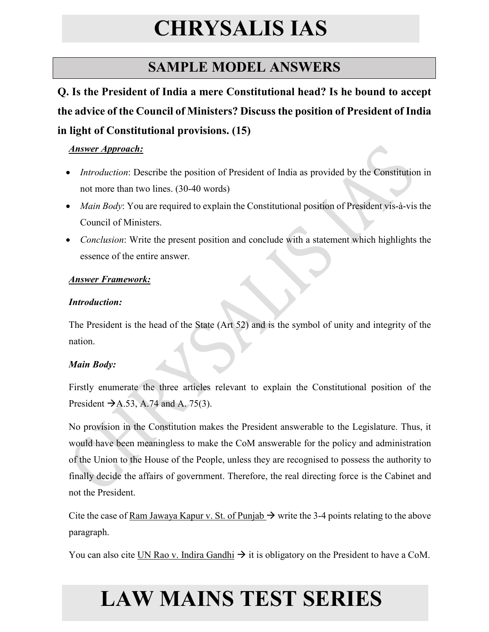### **SAMPLE MODEL ANSWERS**

**Q. Is the President of India a mere Constitutional head? Is he bound to accept the advice of the Council of Ministers? Discuss the position of President of India in light of Constitutional provisions. (15)**

#### *Answer Approach:*

- *Introduction*: Describe the position of President of India as provided by the Constitution in not more than two lines. (30-40 words)
- *Main Body*: You are required to explain the Constitutional position of President vis-à-vis the Council of Ministers.
- *Conclusion*: Write the present position and conclude with a statement which highlights the essence of the entire answer.

#### *Answer Framework:*

#### *Introduction:*

The President is the head of the State (Art 52) and is the symbol of unity and integrity of the nation.

### *Main Body:*

Firstly enumerate the three articles relevant to explain the Constitutional position of the President  $\rightarrow$  A.53, A.74 and A. 75(3).

No provision in the Constitution makes the President answerable to the Legislature. Thus, it would have been meaningless to make the CoM answerable for the policy and administration of the Union to the House of the People, unless they are recognised to possess the authority to finally decide the affairs of government. Therefore, the real directing force is the Cabinet and not the President.

Cite the case of Ram Jawaya Kapur v. St. of Punjab  $\rightarrow$  write the 3-4 points relating to the above paragraph.

You can also cite UN Rao v. Indira Gandhi  $\rightarrow$  it is obligatory on the President to have a CoM.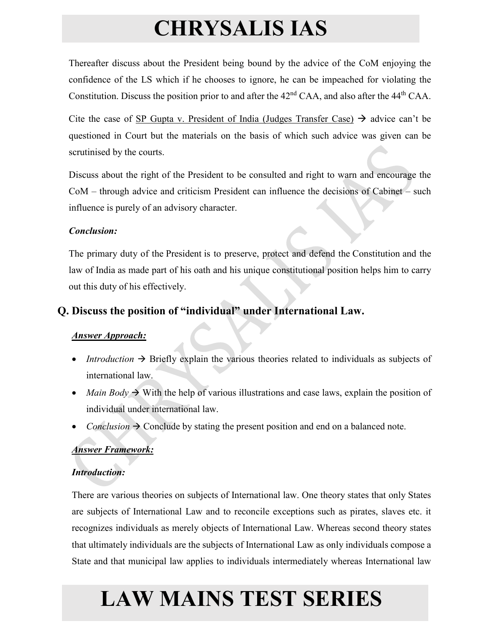Thereafter discuss about the President being bound by the advice of the CoM enjoying the confidence of the LS which if he chooses to ignore, he can be impeached for violating the Constitution. Discuss the position prior to and after the 42<sup>nd</sup> CAA, and also after the 44<sup>th</sup> CAA.

Cite the case of SP Gupta v. President of India (Judges Transfer Case)  $\rightarrow$  advice can't be questioned in Court but the materials on the basis of which such advice was given can be scrutinised by the courts.

Discuss about the right of the President to be consulted and right to warn and encourage the CoM – through advice and criticism President can influence the decisions of Cabinet – such influence is purely of an advisory character.

#### *Conclusion:*

The primary duty of the President is to preserve, protect and defend the Constitution and the law of India as made part of his oath and his unique constitutional position helps him to carry out this duty of his effectively.

### **Q. Discuss the position of "individual" under International Law.**

### *Answer Approach:*

- *Introduction*  $\rightarrow$  Briefly explain the various theories related to individuals as subjects of international law.
- *Main Body*  $\rightarrow$  With the help of various illustrations and case laws, explain the position of individual under international law.
- *Conclusion*  $\rightarrow$  Conclude by stating the present position and end on a balanced note.

### *Answer Framework:*

### *Introduction:*

There are various theories on subjects of International law. One theory states that only States are subjects of International Law and to reconcile exceptions such as pirates, slaves etc. it recognizes individuals as merely objects of International Law. Whereas second theory states that ultimately individuals are the subjects of International Law as only individuals compose a State and that municipal law applies to individuals intermediately whereas International law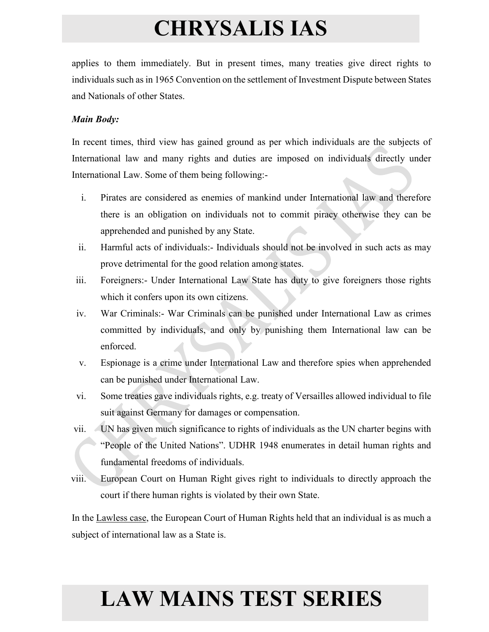applies to them immediately. But in present times, many treaties give direct rights to individuals such as in 1965 Convention on the settlement of Investment Dispute between States and Nationals of other States.

#### *Main Body:*

In recent times, third view has gained ground as per which individuals are the subjects of International law and many rights and duties are imposed on individuals directly under International Law. Some of them being following:-

- i. Pirates are considered as enemies of mankind under International law and therefore there is an obligation on individuals not to commit piracy otherwise they can be apprehended and punished by any State.
- ii. Harmful acts of individuals:- Individuals should not be involved in such acts as may prove detrimental for the good relation among states.
- iii. Foreigners:- Under International Law State has duty to give foreigners those rights which it confers upon its own citizens.
- iv. War Criminals:- War Criminals can be punished under International Law as crimes committed by individuals, and only by punishing them International law can be enforced.
- v. Espionage is a crime under International Law and therefore spies when apprehended can be punished under International Law.
- vi. Some treaties gave individuals rights, e.g. treaty of Versailles allowed individual to file suit against Germany for damages or compensation.
- vii. UN has given much significance to rights of individuals as the UN charter begins with "People of the United Nations". UDHR 1948 enumerates in detail human rights and fundamental freedoms of individuals.
- viii. European Court on Human Right gives right to individuals to directly approach the court if there human rights is violated by their own State.

In the Lawless case, the European Court of Human Rights held that an individual is as much a subject of international law as a State is.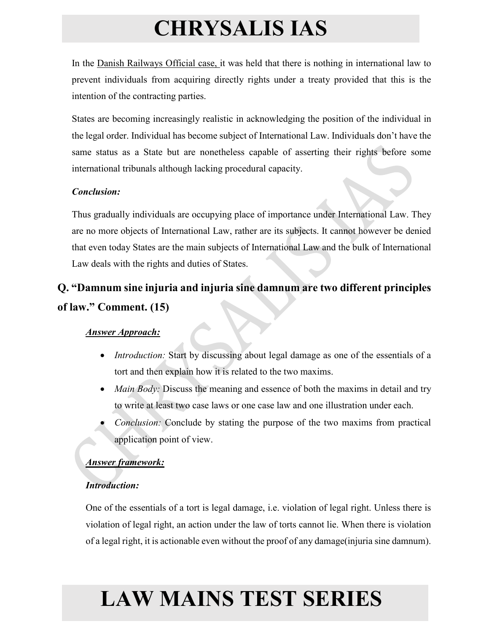In the Danish Railways Official case, it was held that there is nothing in international law to prevent individuals from acquiring directly rights under a treaty provided that this is the intention of the contracting parties.

States are becoming increasingly realistic in acknowledging the position of the individual in the legal order. Individual has become subject of International Law. Individuals don't have the same status as a State but are nonetheless capable of asserting their rights before some international tribunals although lacking procedural capacity.

### *Conclusion:*

Thus gradually individuals are occupying place of importance under International Law. They are no more objects of International Law, rather are its subjects. It cannot however be denied that even today States are the main subjects of International Law and the bulk of International Law deals with the rights and duties of States.

### **Q. "Damnum sine injuria and injuria sine damnum are two different principles of law." Comment. (15)**

### *Answer Approach:*

- *Introduction:* Start by discussing about legal damage as one of the essentials of a tort and then explain how it is related to the two maxims.
- *Main Body:* Discuss the meaning and essence of both the maxims in detail and try to write at least two case laws or one case law and one illustration under each.
- *Conclusion:* Conclude by stating the purpose of the two maxims from practical application point of view.

### *Answer framework:*

### *Introduction:*

One of the essentials of a tort is legal damage, i.e. violation of legal right. Unless there is violation of legal right, an action under the law of torts cannot lie. When there is violation of a legal right, it is actionable even without the proof of any damage(injuria sine damnum).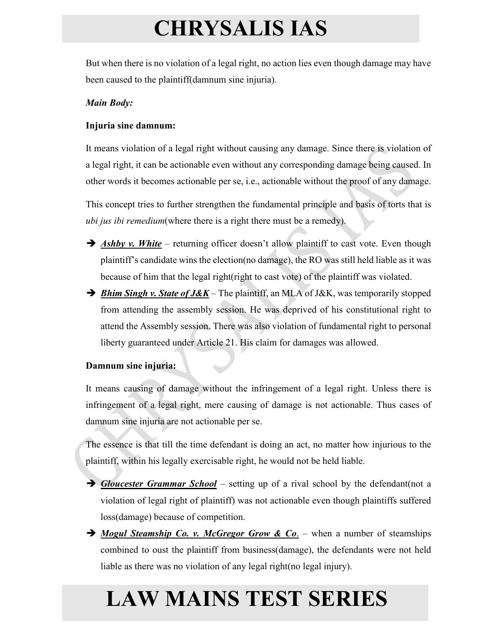But when there is no violation of a legal right, no action lies even though damage may have been caused to the plaintiff(damnum sine injuria).

#### *Main Body:*

#### **Injuria sine damnum:**

It means violation of a legal right without causing any damage. Since there is violation of a legal right, it can be actionable even without any corresponding damage being caused. In other words it becomes actionable per se, i.e., actionable without the proof of any damage.

This concept tries to further strengthen the fundamental principle and basis of torts that is *ubi jus ibi remedium*(where there is a right there must be a remedy).

- **Ashby v. White** returning officer doesn't allow plaintiff to cast vote. Even though plaintiff's candidate wins the election(no damage), the RO was still held liable as it was because of him that the legal right(right to cast vote) of the plaintiff was violated.
- → *Bhim Singh v. State of J&K* The plaintiff, an MLA of J&K, was temporarily stopped from attending the assembly session. He was deprived of his constitutional right to attend the Assembly session. There was also violation of fundamental right to personal liberty guaranteed under Article 21. His claim for damages was allowed.

#### **Damnum sine injuria:**

It means causing of damage without the infringement of a legal right. Unless there is infringement of a legal right, mere causing of damage is not actionable. Thus cases of damnum sine injuria are not actionable per se.

The essence is that till the time defendant is doing an act, no matter how injurious to the plaintiff, within his legally exercisable right, he would not be held liable.

- *Gloucester Grammar School* setting up of a rival school by the defendant(not a violation of legal right of plaintiff) was not actionable even though plaintiffs suffered loss(damage) because of competition.
- → *Mogul Steamship Co. v. McGregor Grow & Co.* when a number of steamships combined to oust the plaintiff from business(damage), the defendants were not held liable as there was no violation of any legal right(no legal injury).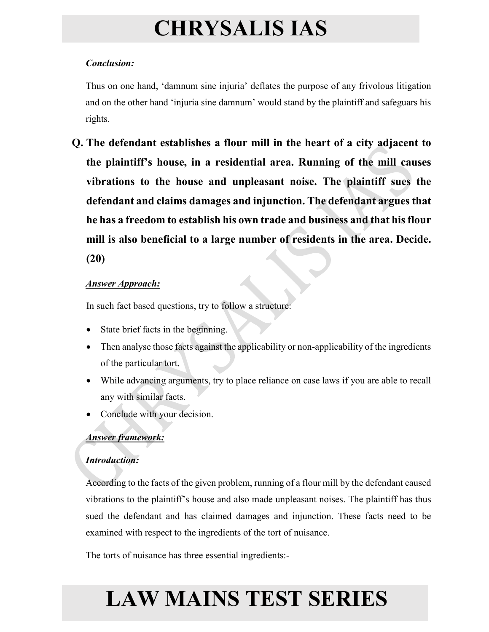### *Conclusion:*

Thus on one hand, 'damnum sine injuria' deflates the purpose of any frivolous litigation and on the other hand 'injuria sine damnum' would stand by the plaintiff and safeguars his rights.

**Q. The defendant establishes a flour mill in the heart of a city adjacent to the plaintiff's house, in a residential area. Running of the mill causes vibrations to the house and unpleasant noise. The plaintiff sues the defendant and claims damages and injunction. The defendant argues that he has a freedom to establish his own trade and business and that his flour mill is also beneficial to a large number of residents in the area. Decide. (20)**

### *Answer Approach:*

In such fact based questions, try to follow a structure:

- State brief facts in the beginning.
- Then analyse those facts against the applicability or non-applicability of the ingredients of the particular tort.
- While advancing arguments, try to place reliance on case laws if you are able to recall any with similar facts.
- Conclude with your decision.

### *Answer framework:*

### *Introduction:*

According to the facts of the given problem, running of a flour mill by the defendant caused vibrations to the plaintiff's house and also made unpleasant noises. The plaintiff has thus sued the defendant and has claimed damages and injunction. These facts need to be examined with respect to the ingredients of the tort of nuisance.

The torts of nuisance has three essential ingredients:-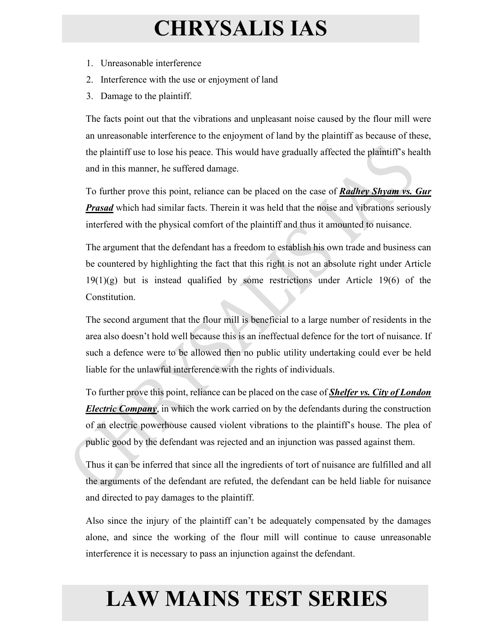- 1. Unreasonable interference
- 2. Interference with the use or enjoyment of land
- 3. Damage to the plaintiff.

The facts point out that the vibrations and unpleasant noise caused by the flour mill were an unreasonable interference to the enjoyment of land by the plaintiff as because of these, the plaintiff use to lose his peace. This would have gradually affected the plaintiff's health and in this manner, he suffered damage.

To further prove this point, reliance can be placed on the case of *Radhey Shyam vs. Gur Prasad* which had similar facts. Therein it was held that the noise and vibrations seriously interfered with the physical comfort of the plaintiff and thus it amounted to nuisance.

The argument that the defendant has a freedom to establish his own trade and business can be countered by highlighting the fact that this right is not an absolute right under Article 19(1)(g) but is instead qualified by some restrictions under Article 19(6) of the Constitution.

The second argument that the flour mill is beneficial to a large number of residents in the area also doesn't hold well because this is an ineffectual defence for the tort of nuisance. If such a defence were to be allowed then no public utility undertaking could ever be held liable for the unlawful interference with the rights of individuals.

To further prove this point, reliance can be placed on the case of *Shelfer vs. City of London Electric Company*, in which the work carried on by the defendants during the construction of an electric powerhouse caused violent vibrations to the plaintiff's house. The plea of public good by the defendant was rejected and an injunction was passed against them.

Thus it can be inferred that since all the ingredients of tort of nuisance are fulfilled and all the arguments of the defendant are refuted, the defendant can be held liable for nuisance and directed to pay damages to the plaintiff.

Also since the injury of the plaintiff can't be adequately compensated by the damages alone, and since the working of the flour mill will continue to cause unreasonable interference it is necessary to pass an injunction against the defendant.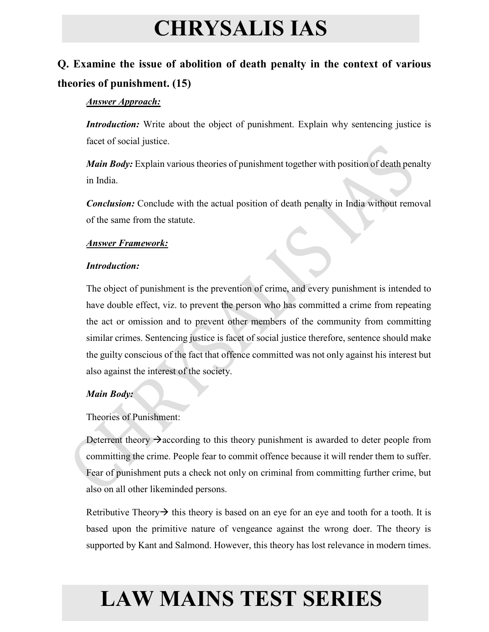### **Q. Examine the issue of abolition of death penalty in the context of various theories of punishment. (15)**

#### *Answer Approach:*

*Introduction:* Write about the object of punishment. Explain why sentencing justice is facet of social justice.

*Main Body:* Explain various theories of punishment together with position of death penalty in India.

*Conclusion:* Conclude with the actual position of death penalty in India without removal of the same from the statute.

#### *Answer Framework:*

#### *Introduction:*

The object of punishment is the prevention of crime, and every punishment is intended to have double effect, viz. to prevent the person who has committed a crime from repeating the act or omission and to prevent other members of the community from committing similar crimes. Sentencing justice is facet of social justice therefore, sentence should make the guilty conscious of the fact that offence committed was not only against his interest but also against the interest of the society.

#### *Main Body:*

Theories of Punishment:

Deterrent theory  $\rightarrow$  according to this theory punishment is awarded to deter people from committing the crime. People fear to commit offence because it will render them to suffer. Fear of punishment puts a check not only on criminal from committing further crime, but also on all other likeminded persons.

Retributive Theory  $\rightarrow$  this theory is based on an eye for an eye and tooth for a tooth. It is based upon the primitive nature of vengeance against the wrong doer. The theory is supported by Kant and Salmond. However, this theory has lost relevance in modern times.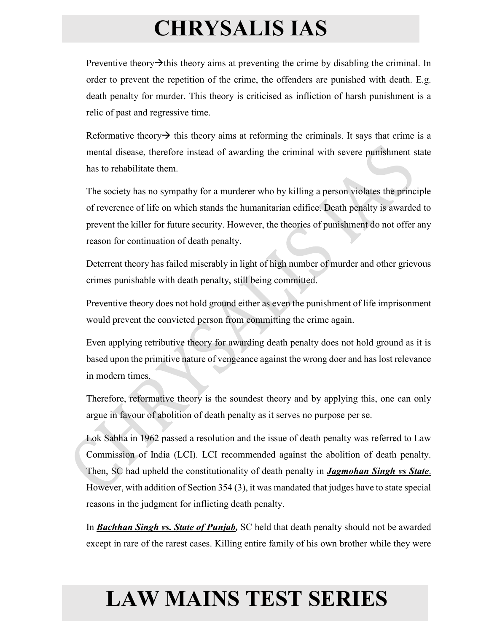Preventive theory  $\rightarrow$  this theory aims at preventing the crime by disabling the criminal. In order to prevent the repetition of the crime, the offenders are punished with death. E.g. death penalty for murder. This theory is criticised as infliction of harsh punishment is a relic of past and regressive time.

Reformative theory  $\rightarrow$  this theory aims at reforming the criminals. It says that crime is a mental disease, therefore instead of awarding the criminal with severe punishment state has to rehabilitate them.

The society has no sympathy for a murderer who by killing a person violates the principle of reverence of life on which stands the humanitarian edifice. Death penalty is awarded to prevent the killer for future security. However, the theories of punishment do not offer any reason for continuation of death penalty.

Deterrent theory has failed miserably in light of high number of murder and other grievous crimes punishable with death penalty, still being committed.

Preventive theory does not hold ground either as even the punishment of life imprisonment would prevent the convicted person from committing the crime again.

Even applying retributive theory for awarding death penalty does not hold ground as it is based upon the primitive nature of vengeance against the wrong doer and has lost relevance in modern times.

Therefore, reformative theory is the soundest theory and by applying this, one can only argue in favour of abolition of death penalty as it serves no purpose per se.

Lok Sabha in 1962 passed a resolution and the issue of death penalty was referred to Law Commission of India (LCI). LCI recommended against the abolition of death penalty. Then, SC had upheld the constitutionality of death penalty in *Jagmohan Singh vs State*. However, with addition of Section 354 (3), it was mandated that judges have to state special reasons in the judgment for inflicting death penalty.

In *Bachhan Singh vs. State of Punjab,* SC held that death penalty should not be awarded except in rare of the rarest cases. Killing entire family of his own brother while they were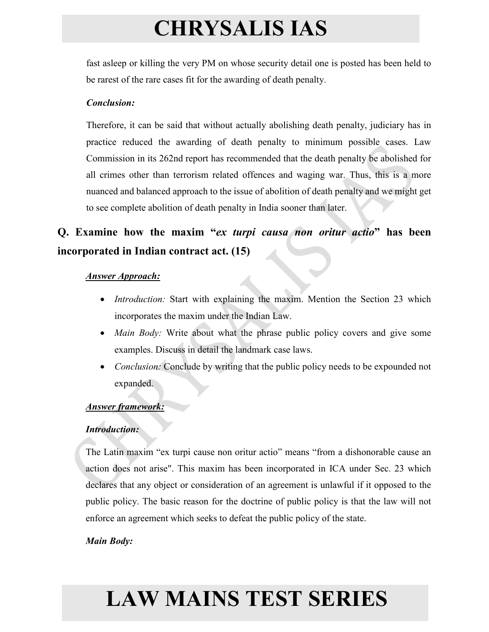fast asleep or killing the very PM on whose security detail one is posted has been held to be rarest of the rare cases fit for the awarding of death penalty.

#### *Conclusion:*

Therefore, it can be said that without actually abolishing death penalty, judiciary has in practice reduced the awarding of death penalty to minimum possible cases. Law Commission in its 262nd report has recommended that the death penalty be abolished for all crimes other than terrorism related offences and waging war. Thus, this is a more nuanced and balanced approach to the issue of abolition of death penalty and we might get to see complete abolition of death penalty in India sooner than later.

### **Q. Examine how the maxim "***ex turpi causa non oritur actio***" has been incorporated in Indian contract act. (15)**

#### *Answer Approach:*

- *Introduction:* Start with explaining the maxim. Mention the Section 23 which incorporates the maxim under the Indian Law.
- *Main Body:* Write about what the phrase public policy covers and give some examples. Discuss in detail the landmark case laws.
- *Conclusion:* Conclude by writing that the public policy needs to be expounded not expanded.

#### *Answer framework:*

#### *Introduction:*

The Latin maxim "ex turpi cause non oritur actio" means "from a dishonorable cause an action does not arise". This maxim has been incorporated in ICA under Sec. 23 which declares that any object or consideration of an agreement is unlawful if it opposed to the public policy. The basic reason for the doctrine of public policy is that the law will not enforce an agreement which seeks to defeat the public policy of the state.

#### *Main Body:*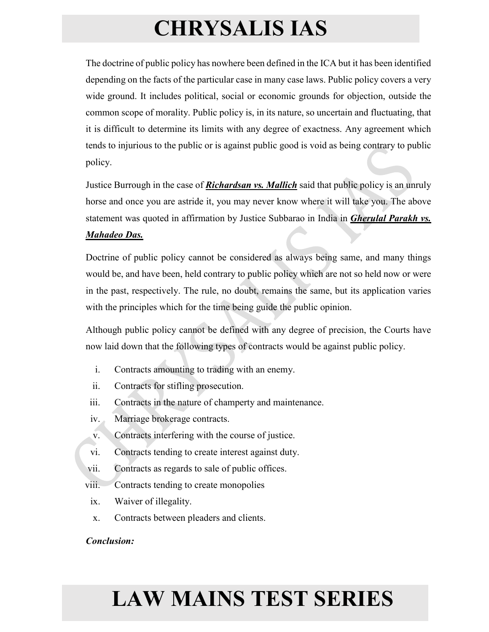The doctrine of public policy has nowhere been defined in the ICA but it has been identified depending on the facts of the particular case in many case laws. Public policy covers a very wide ground. It includes political, social or economic grounds for objection, outside the common scope of morality. Public policy is, in its nature, so uncertain and fluctuating, that it is difficult to determine its limits with any degree of exactness. Any agreement which tends to injurious to the public or is against public good is void as being contrary to public policy.

Justice Burrough in the case of *Richardsan vs. Mallich* said that public policy is an unruly horse and once you are astride it, you may never know where it will take you. The above statement was quoted in affirmation by Justice Subbarao in India in *Gherulal Parakh vs.* 

#### *Mahadeo Das.*

Doctrine of public policy cannot be considered as always being same, and many things would be, and have been, held contrary to public policy which are not so held now or were in the past, respectively. The rule, no doubt, remains the same, but its application varies with the principles which for the time being guide the public opinion.

Although public policy cannot be defined with any degree of precision, the Courts have now laid down that the following types of contracts would be against public policy.

- i. Contracts amounting to trading with an enemy.
- ii. Contracts for stifling prosecution.
- iii. Contracts in the nature of champerty and maintenance.
- iv. Marriage brokerage contracts.
- v. Contracts interfering with the course of justice.
- vi. Contracts tending to create interest against duty.
- vii. Contracts as regards to sale of public offices.
- viii. Contracts tending to create monopolies
- ix. Waiver of illegality.
- x. Contracts between pleaders and clients.

### *Conclusion:*